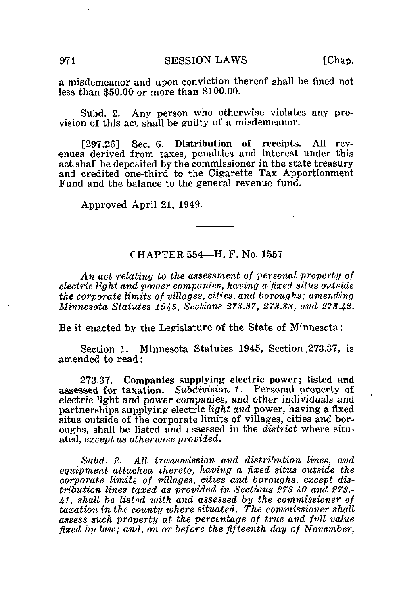a misdemeanor and upon conviction thereof shall be fined not less than \$50.00 or more than \$100.00.

Subd. 2. Any person who otherwise violates any provision of this act shall be guilty of a misdemeanor.

[297.26] Sec. 6. Distribution of receipts. All revenues derived from taxes, penalties and interest under this act.shall be deposited by the commissioner in the state treasury and credited one-third to the Cigarette Tax Apportionment Fund and the balance to the general revenue fund.

Approved April 21, 1949.

## CHAPTER 554—H. F. No. 1557

An act relating to the assessment of personal property of electric light and power companies, having a fixed situs outside the corporate limits of villages, cities, and boroughs; amending Minnesota Statutes 1945, Sections 273.37, 273.38, and 273.42.

Be it enacted by the Legislature of the State of Minnesota:

Section 1. Minnesota Statutes 1945, Section 273.37, is amended to read:

273.37. Companies supplying electric power; listed and assessed for taxation. Subdivision 1. Personal property of electric light and power companies, and other individuals and partnerships supplying electric light and power, having a fixed situs outside of the corporate limits of villages, cities and boroughs, shall be listed and assessed in the district where situated, except as otherwise provided.

Subd. 2. All transmission and distribution lines, and equipment attached thereto, having a fixed situs outside the corporate limits of villages, cities and boroughs, except distribution lines taxed as provided in Sections 273.40 and 273.- 41, shall be listed with and assessed by the commissioner of taxation in the county where situated. The commissioner shall assess such property at the percentage of true and full value fixed by law; and, on or before the fifteenth day of November,